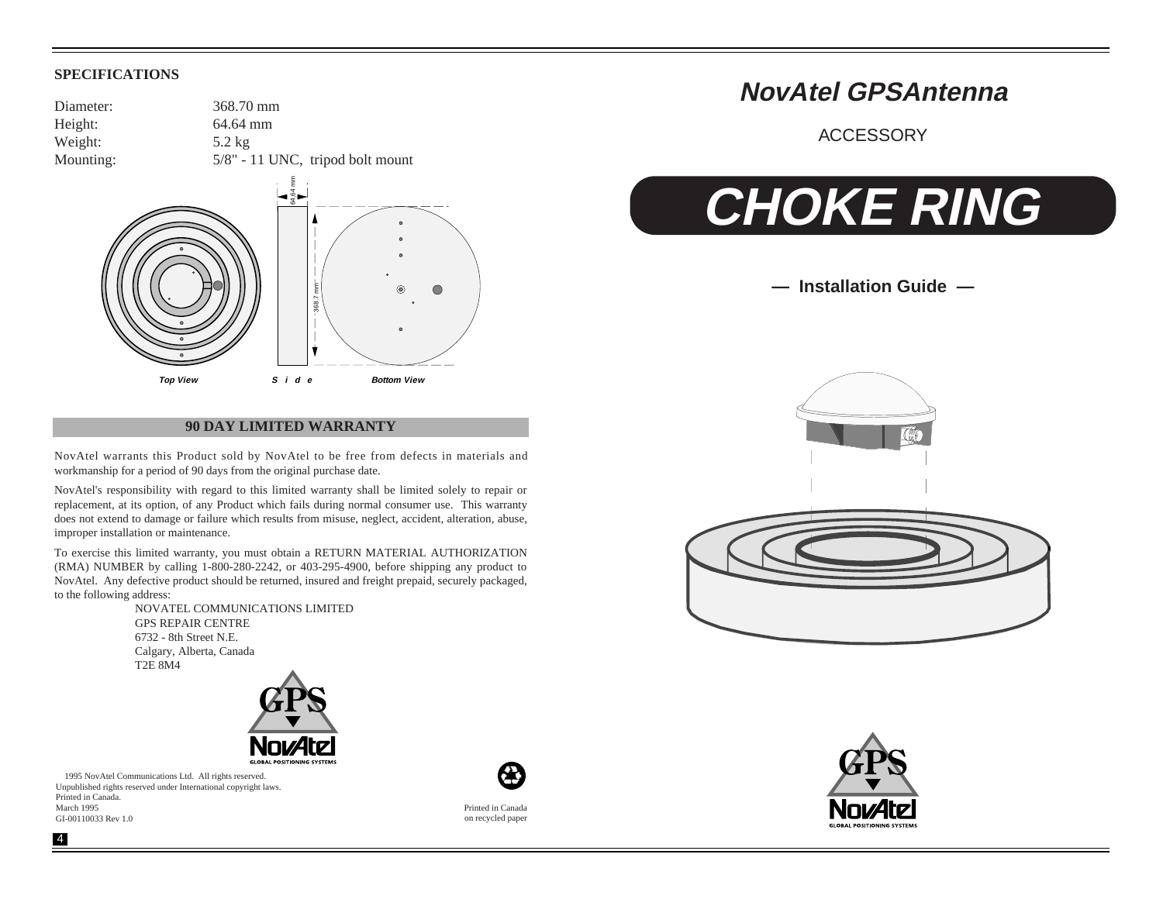#### **SPECIFICATIONS**

Diameter: 368.70 mm Height: 64.64 mm Weight: 5.2 kg Mounting:  $5/8" - 11$  UNC, tripod bolt mount



#### **90 DAY LIMITED WARRANTY**

NovAtel warrants this Product sold by NovAtel to be free from defects in materials and workmanship for a period of 90 days from the original purchase date.

NovAtel's responsibility with regard to this limited warranty shall be limited solely to repair or replacement, at its option, of any Product which fails during normal consumer use. This warranty does not extend to damage or failure which results from misuse, neglect, accident, alteration, abuse, improper installation or maintenance.

To exercise this limited warranty, you must obtain a RETURN MATERIAL AUTHORIZATION (RMA) NUMBER by calling 1-800-280-2242, or 403-295-4900, before shipping any product to NovAtel. Any defective product should be returned, insured and freight prepaid, securely packaged, to the following address:

> NOVATEL COMMUNICATIONS LIMITED GPS REPAIR CENTRE 6732 - 8th Street N.E. Calgary, Alberta, Canada T2E 8M4



 1995 NovAtel Communications Ltd. All rights reserved. Unpublished rights reserved under International copyright laws. Printed in Canada. March 1995 GI-00110033 Rev 1.0



# **NovAtel GPSAntenna**

ACCESSORY

# **CHOKE RING**

**— Installation Guide —**







Printed in Canada on recycled paper